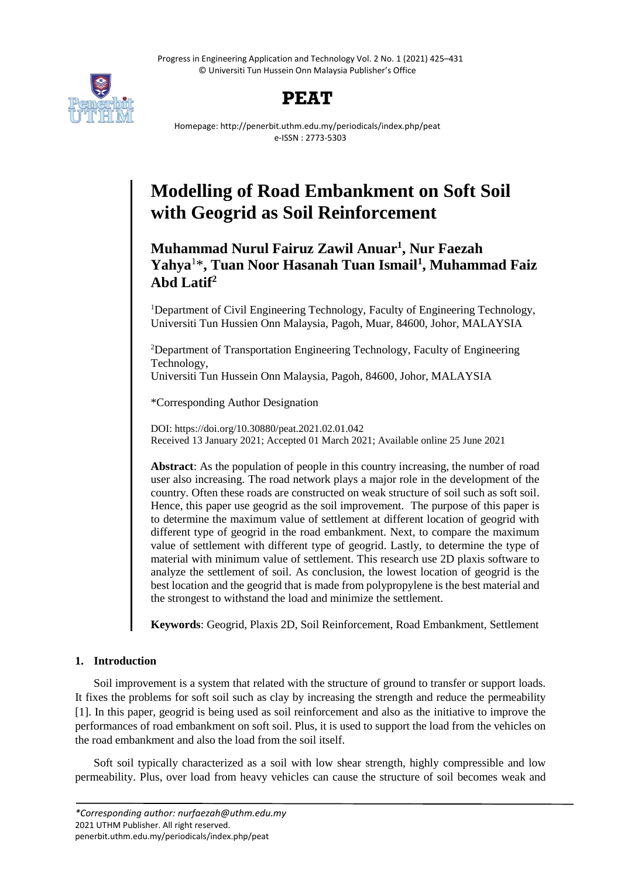Progress in Engineering Application and Technology Vol. 2 No. 1 (2021) 425–431 © Universiti Tun Hussein Onn Malaysia Publisher's Office





Homepage: http://penerbit.uthm.edu.my/periodicals/index.php/peat e-ISSN : 2773-5303

# **Modelling of Road Embankment on Soft Soil with Geogrid as Soil Reinforcement**

## **Muhammad Nurul Fairuz Zawil Anuar<sup>1</sup> , Nur Faezah Yahya**<sup>1</sup>\* **, Tuan Noor Hasanah Tuan Ismail<sup>1</sup> , Muhammad Faiz Abd Latif<sup>2</sup>**

<sup>1</sup>Department of Civil Engineering Technology, Faculty of Engineering Technology, Universiti Tun Hussien Onn Malaysia, Pagoh, Muar, 84600, Johor, MALAYSIA

<sup>2</sup>Department of Transportation Engineering Technology, Faculty of Engineering Technology,

Universiti Tun Hussein Onn Malaysia, Pagoh, 84600, Johor, MALAYSIA

\*Corresponding Author Designation

DOI: https://doi.org/10.30880/peat.2021.02.01.042 Received 13 January 2021; Accepted 01 March 2021; Available online 25 June 2021

**Abstract**: As the population of people in this country increasing, the number of road user also increasing. The road network plays a major role in the development of the country. Often these roads are constructed on weak structure of soil such as soft soil. Hence, this paper use geogrid as the soil improvement. The purpose of this paper is to determine the maximum value of settlement at different location of geogrid with different type of geogrid in the road embankment. Next, to compare the maximum value of settlement with different type of geogrid. Lastly, to determine the type of material with minimum value of settlement. This research use 2D plaxis software to analyze the settlement of soil. As conclusion, the lowest location of geogrid is the best location and the geogrid that is made from polypropylene is the best material and the strongest to withstand the load and minimize the settlement.

**Keywords**: Geogrid, Plaxis 2D, Soil Reinforcement, Road Embankment, Settlement

## **1. Introduction**

Soil improvement is a system that related with the structure of ground to transfer or support loads. It fixes the problems for soft soil such as clay by increasing the strength and reduce the permeability [1]. In this paper, geogrid is being used as soil reinforcement and also as the initiative to improve the performances of road embankment on soft soil. Plus, it is used to support the load from the vehicles on the road embankment and also the load from the soil itself.

Soft soil typically characterized as a soil with low shear strength, highly compressible and low permeability. Plus, over load from heavy vehicles can cause the structure of soil becomes weak and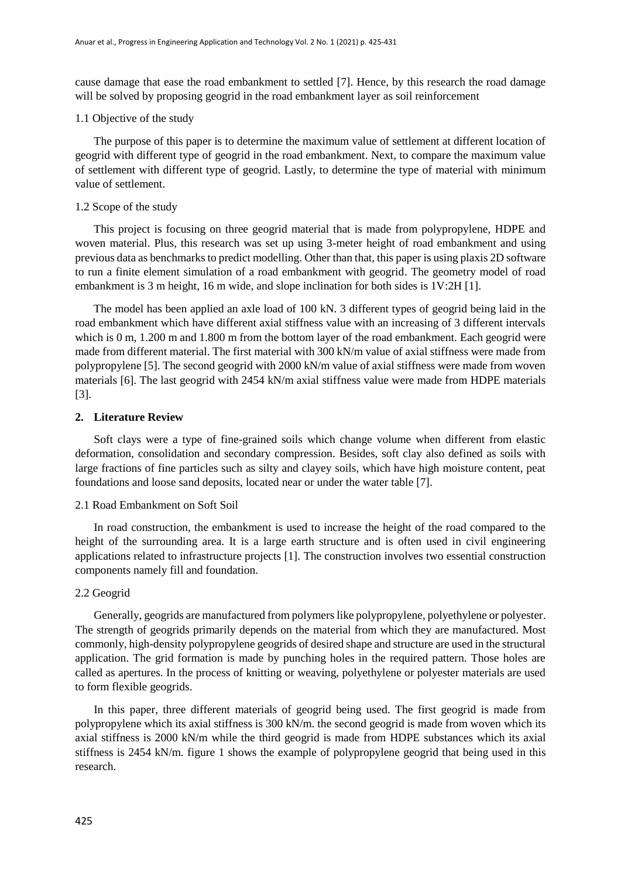cause damage that ease the road embankment to settled [7]. Hence, by this research the road damage will be solved by proposing geogrid in the road embankment layer as soil reinforcement

### 1.1 Objective of the study

The purpose of this paper is to determine the maximum value of settlement at different location of geogrid with different type of geogrid in the road embankment. Next, to compare the maximum value of settlement with different type of geogrid. Lastly, to determine the type of material with minimum value of settlement.

#### 1.2 Scope of the study

This project is focusing on three geogrid material that is made from polypropylene, HDPE and woven material. Plus, this research was set up using 3-meter height of road embankment and using previous data as benchmarks to predict modelling. Other than that, this paper is using plaxis 2D software to run a finite element simulation of a road embankment with geogrid. The geometry model of road embankment is 3 m height, 16 m wide, and slope inclination for both sides is 1V:2H [1].

The model has been applied an axle load of 100 kN. 3 different types of geogrid being laid in the road embankment which have different axial stiffness value with an increasing of 3 different intervals which is 0 m, 1.200 m and 1.800 m from the bottom layer of the road embankment. Each geogrid were made from different material. The first material with 300 kN/m value of axial stiffness were made from polypropylene [5]. The second geogrid with 2000 kN/m value of axial stiffness were made from woven materials [6]. The last geogrid with 2454 kN/m axial stiffness value were made from HDPE materials [3].

### **2. Literature Review**

Soft clays were a type of fine-grained soils which change volume when different from elastic deformation, consolidation and secondary compression. Besides, soft clay also defined as soils with large fractions of fine particles such as silty and clayey soils, which have high moisture content, peat foundations and loose sand deposits, located near or under the water table [7].

#### 2.1 Road Embankment on Soft Soil

In road construction, the embankment is used to increase the height of the road compared to the height of the surrounding area. It is a large earth structure and is often used in civil engineering applications related to infrastructure projects [1]. The construction involves two essential construction components namely fill and foundation.

#### 2.2 Geogrid

Generally, geogrids are manufactured from polymers like polypropylene, polyethylene or polyester. The strength of geogrids primarily depends on the material from which they are manufactured. Most commonly, high-density polypropylene geogrids of desired shape and structure are used in the structural application. The grid formation is made by punching holes in the required pattern. Those holes are called as apertures. In the process of knitting or weaving, polyethylene or polyester materials are used to form flexible geogrids.

In this paper, three different materials of geogrid being used. The first geogrid is made from polypropylene which its axial stiffness is 300 kN/m. the second geogrid is made from woven which its axial stiffness is 2000 kN/m while the third geogrid is made from HDPE substances which its axial stiffness is 2454 kN/m. figure 1 shows the example of polypropylene geogrid that being used in this research.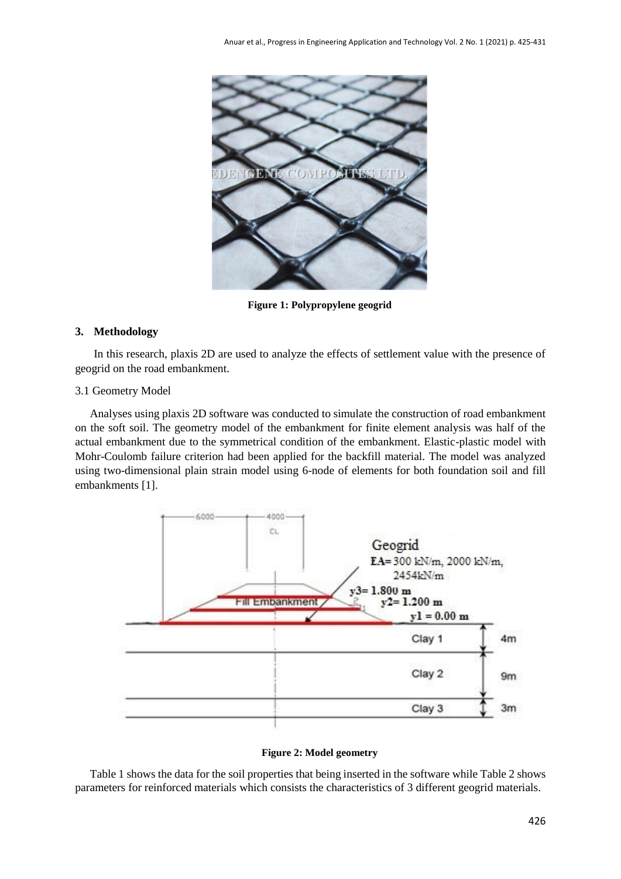

**Figure 1: Polypropylene geogrid**

## **3. Methodology**

In this research, plaxis 2D are used to analyze the effects of settlement value with the presence of geogrid on the road embankment.

## 3.1 Geometry Model

Analyses using plaxis 2D software was conducted to simulate the construction of road embankment on the soft soil. The geometry model of the embankment for finite element analysis was half of the actual embankment due to the symmetrical condition of the embankment. Elastic-plastic model with Mohr-Coulomb failure criterion had been applied for the backfill material. The model was analyzed using two-dimensional plain strain model using 6-node of elements for both foundation soil and fill embankments [1].



**Figure 2: Model geometry** 

Table 1 shows the data for the soil properties that being inserted in the software while Table 2 shows parameters for reinforced materials which consists the characteristics of 3 different geogrid materials.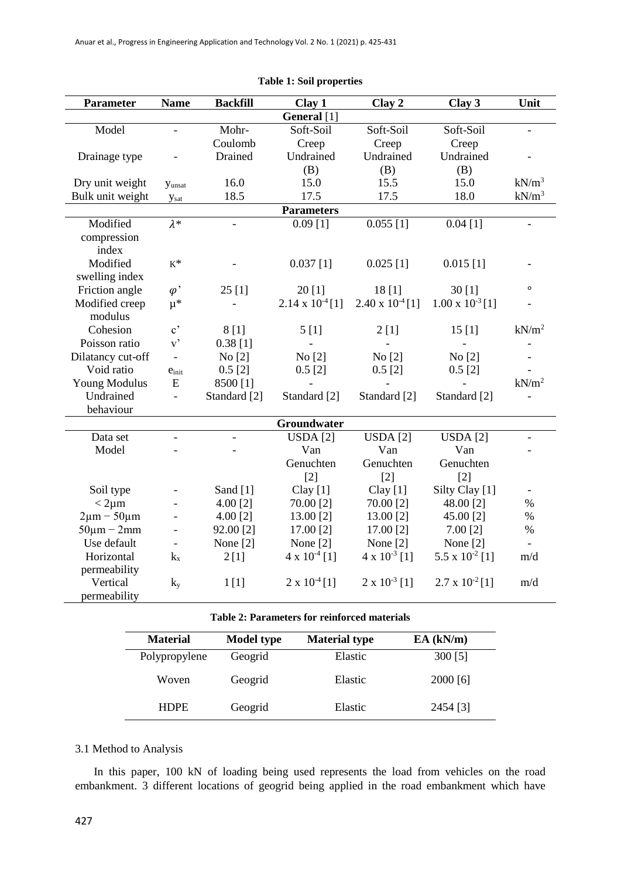| <b>Parameter</b>     | <b>Name</b>              | <b>Backfill</b> | Clay 1                    | Clay 2                    | Clay 3                    | Unit                     |  |  |  |
|----------------------|--------------------------|-----------------|---------------------------|---------------------------|---------------------------|--------------------------|--|--|--|
|                      |                          |                 | General [1]               |                           |                           |                          |  |  |  |
| Model                |                          | Mohr-           | Soft-Soil                 | Soft-Soil                 | Soft-Soil                 |                          |  |  |  |
|                      |                          | Coulomb         | Creep                     | Creep                     | Creep                     |                          |  |  |  |
| Drainage type        |                          | Drained         | Undrained                 | Undrained                 | Undrained                 |                          |  |  |  |
|                      |                          |                 | (B)                       | (B)                       | (B)                       |                          |  |  |  |
| Dry unit weight      | <b>Yunsat</b>            | 16.0            | 15.0                      | 15.5                      | 15.0                      | $kN/m^3$                 |  |  |  |
| Bulk unit weight     | <b>y</b> sat             | 18.5            | 17.5                      | 17.5                      | 18.0                      | $kN/m^3$                 |  |  |  |
| <b>Parameters</b>    |                          |                 |                           |                           |                           |                          |  |  |  |
| Modified             | $\lambda^*$              | $\overline{a}$  | $0.09$ [1]                | $0.055$ [1]               | $0.04$ [1]                | $\overline{a}$           |  |  |  |
| compression          |                          |                 |                           |                           |                           |                          |  |  |  |
| index                |                          |                 |                           |                           |                           |                          |  |  |  |
| Modified             | $\mathrm{K}^*$           |                 | $0.037$ [1]               | $0.025$ [1]               | $0.015$ [1]               |                          |  |  |  |
| swelling index       |                          |                 |                           |                           |                           |                          |  |  |  |
| Friction angle       | $\varphi$ '              | 25[1]           | 20[1]                     | 18[1]                     | 30[1]                     | $\circ$                  |  |  |  |
| Modified creep       | $\mu^*$                  |                 | $2.14 \times 10^{-4}$ [1] | $2.40 \times 10^{-4} [1]$ | $1.00 \times 10^{-3} [1]$ |                          |  |  |  |
| modulus              |                          |                 |                           |                           |                           |                          |  |  |  |
| Cohesion             | $\mathbf{c}^{\ast}$      | 8 [1]           | 5[1]                      | 2[1]                      | 15[1]                     | kN/m <sup>2</sup>        |  |  |  |
| Poisson ratio        | $v^{\prime}$             | 0.38[1]         |                           |                           |                           |                          |  |  |  |
| Dilatancy cut-off    | $\overline{\phantom{a}}$ | No [2]          | No [2]                    | No [2]                    | No [2]                    |                          |  |  |  |
| Void ratio           | $e_{\text{init}}$        | $0.5$ [2]       | $0.5$ [2]                 | $0.5$ [2]                 | $0.5$ [2]                 |                          |  |  |  |
| <b>Young Modulus</b> | ${\bf E}$                | 8500 [1]        |                           |                           |                           | kN/m <sup>2</sup>        |  |  |  |
| Undrained            | $\overline{\phantom{a}}$ | Standard [2]    | Standard [2]              | Standard [2]              | Standard [2]              |                          |  |  |  |
| behaviour            |                          |                 |                           |                           |                           |                          |  |  |  |
| Groundwater          |                          |                 |                           |                           |                           |                          |  |  |  |
| Data set             |                          |                 | USDA [2]                  | USDA [2]                  | <b>USDA</b> [2]           |                          |  |  |  |
| Model                |                          |                 | Van                       | Van                       | Van                       |                          |  |  |  |
|                      |                          |                 | Genuchten                 | Genuchten                 | Genuchten                 |                          |  |  |  |
|                      |                          |                 | $[2]$                     | $[2]$                     | $[2]$                     |                          |  |  |  |
| Soil type            | $\overline{\phantom{0}}$ | Sand [1]        | Clay $[1]$                | Clay $[1]$                | Silty Clay [1]            | $\overline{\phantom{a}}$ |  |  |  |
| $< 2 \mu m$          | $\overline{\phantom{0}}$ | $4.00$ [2]      | 70.00 [2]                 | 70.00 [2]                 | 48.00 [2]                 | %                        |  |  |  |
| $2\mu m - 50\mu m$   | $\overline{a}$           | $4.00$ [2]      | 13.00 [2]                 | 13.00 [2]                 | 45.00 [2]                 | $\%$                     |  |  |  |
| $50 \mu m - 2 mm$    | $\overline{\phantom{0}}$ | 92.00 [2]       | 17.00 [2]                 | 17.00 [2]                 | $7.00$ [2]                | $\%$                     |  |  |  |
| Use default          | $\blacksquare$           | None $[2]$      | None $[2]$                | None $[2]$                | None $[2]$                |                          |  |  |  |
| Horizontal           | $k_{x}$                  | 2[1]            | $4 \times 10^{-4}$ [1]    | $4 \times 10^{-3}$ [1]    | 5.5 x $10^{-2}$ [1]       | m/d                      |  |  |  |
| permeability         |                          |                 |                           |                           |                           |                          |  |  |  |
| Vertical             | $k_y$                    | 1[1]            | $2 \times 10^{-4}$ [1]    | $2 \times 10^{-3}$ [1]    | $2.7 \times 10^{-2}$ [1]  | m/d                      |  |  |  |
| permeability         |                          |                 |                           |                           |                           |                          |  |  |  |

**Table 1: Soil properties**

#### **Table 2: Parameters for reinforced materials**

| <b>Material</b> | <b>Model type</b> | <b>Material type</b> | $EA$ (kN/m) |
|-----------------|-------------------|----------------------|-------------|
| Polypropylene   | Geogrid           | Elastic              | $300$ [5]   |
| Woven           | Geogrid           | Elastic              | $2000$ [6]  |
| <b>HDPE</b>     | Geogrid           | Elastic              | 2454 [3]    |

## 3.1 Method to Analysis

In this paper, 100 kN of loading being used represents the load from vehicles on the road embankment. 3 different locations of geogrid being applied in the road embankment which have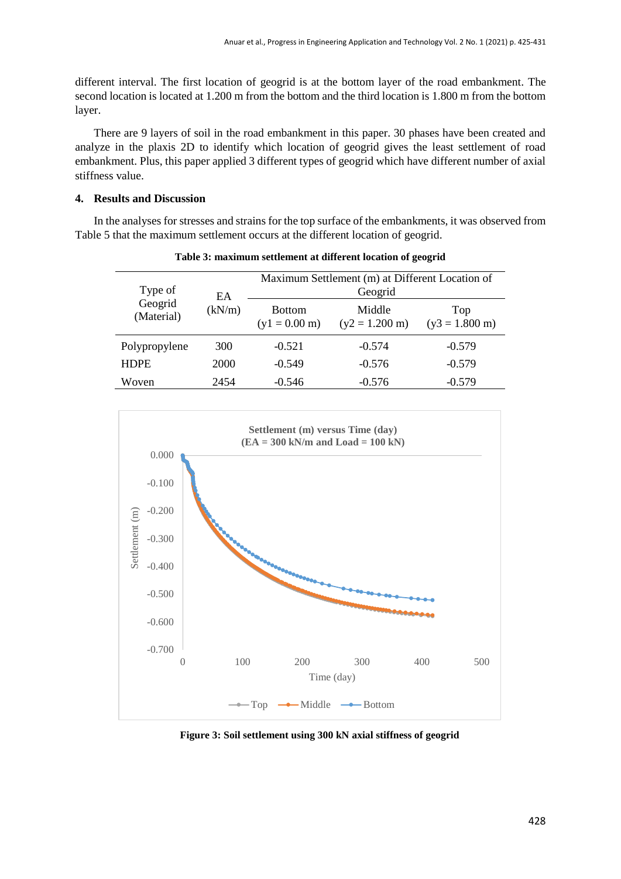different interval. The first location of geogrid is at the bottom layer of the road embankment. The second location is located at 1.200 m from the bottom and the third location is 1.800 m from the bottom layer.

There are 9 layers of soil in the road embankment in this paper. 30 phases have been created and analyze in the plaxis 2D to identify which location of geogrid gives the least settlement of road embankment. Plus, this paper applied 3 different types of geogrid which have different number of axial stiffness value.

## **4. Results and Discussion**

In the analyses for stresses and strains for the top surface of the embankments, it was observed from Table 5 that the maximum settlement occurs at the different location of geogrid.

| Type of<br>Geogrid<br>(Material) | EA<br>(kN/m) | Maximum Settlement (m) at Different Location of<br>Geogrid |                                    |                                 |  |
|----------------------------------|--------------|------------------------------------------------------------|------------------------------------|---------------------------------|--|
|                                  |              | <b>Bottom</b><br>$(y1 = 0.00 \text{ m})$                   | Middle<br>$(y2 = 1.200 \text{ m})$ | Top<br>$(y3 = 1.800 \text{ m})$ |  |
| Polypropylene                    | 300          | $-0.521$                                                   | $-0.574$                           | $-0.579$                        |  |
| <b>HDPE</b>                      | 2000         | $-0.549$                                                   | $-0.576$                           | $-0.579$                        |  |
| Woven                            | 2454         | $-0.546$                                                   | $-0.576$                           | $-0.579$                        |  |

**Table 3: maximum settlement at different location of geogrid**



**Figure 3: Soil settlement using 300 kN axial stiffness of geogrid**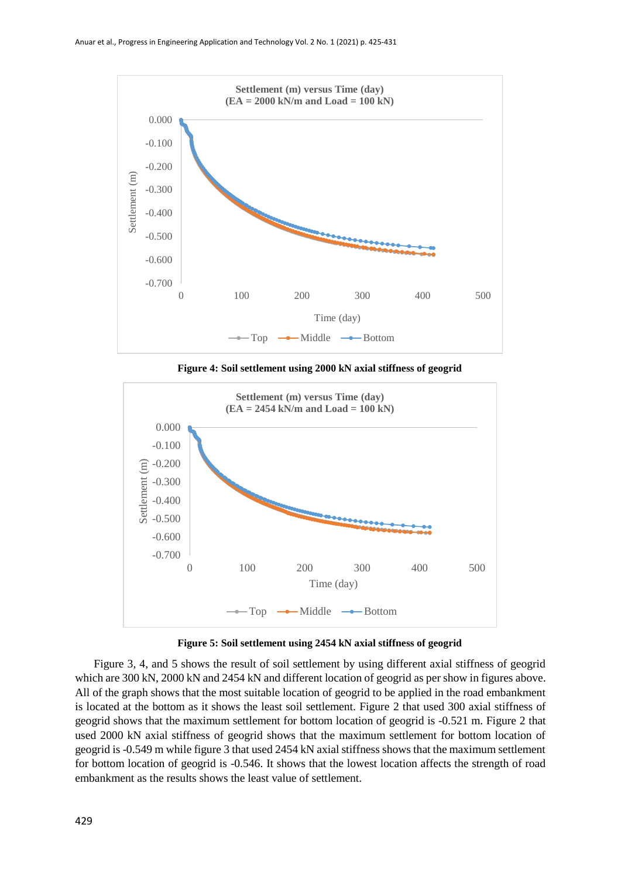

**Figure 4: Soil settlement using 2000 kN axial stiffness of geogrid**



**Figure 5: Soil settlement using 2454 kN axial stiffness of geogrid**

Figure 3, 4, and 5 shows the result of soil settlement by using different axial stiffness of geogrid which are 300 kN, 2000 kN and 2454 kN and different location of geogrid as per show in figures above. All of the graph shows that the most suitable location of geogrid to be applied in the road embankment is located at the bottom as it shows the least soil settlement. Figure 2 that used 300 axial stiffness of geogrid shows that the maximum settlement for bottom location of geogrid is -0.521 m. Figure 2 that used 2000 kN axial stiffness of geogrid shows that the maximum settlement for bottom location of geogrid is -0.549 m while figure 3 that used 2454 kN axial stiffness shows that the maximum settlement for bottom location of geogrid is -0.546. It shows that the lowest location affects the strength of road embankment as the results shows the least value of settlement.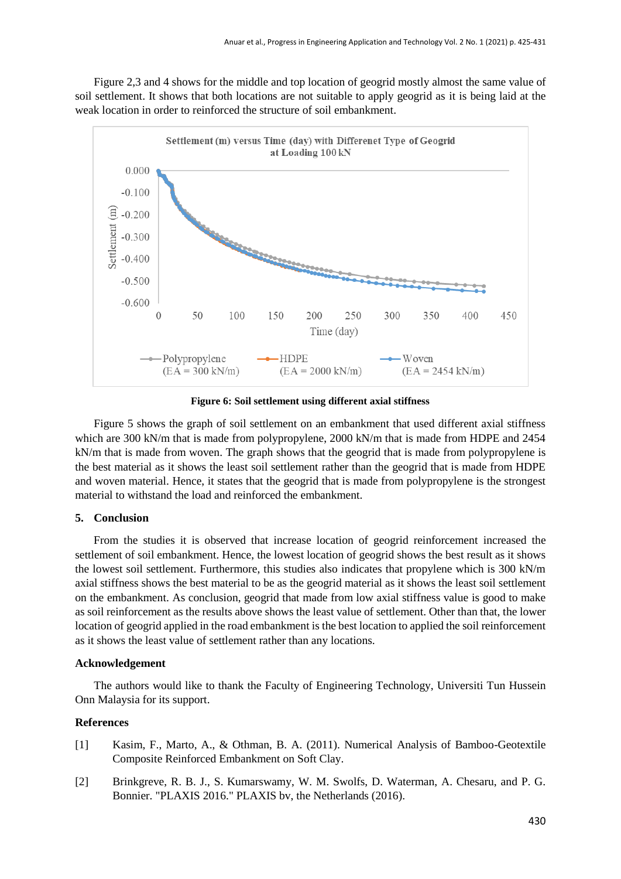Figure 2,3 and 4 shows for the middle and top location of geogrid mostly almost the same value of soil settlement. It shows that both locations are not suitable to apply geogrid as it is being laid at the weak location in order to reinforced the structure of soil embankment.



**Figure 6: Soil settlement using different axial stiffness**

Figure 5 shows the graph of soil settlement on an embankment that used different axial stiffness which are 300 kN/m that is made from polypropylene, 2000 kN/m that is made from HDPE and 2454 kN/m that is made from woven. The graph shows that the geogrid that is made from polypropylene is the best material as it shows the least soil settlement rather than the geogrid that is made from HDPE and woven material. Hence, it states that the geogrid that is made from polypropylene is the strongest material to withstand the load and reinforced the embankment.

## **5. Conclusion**

From the studies it is observed that increase location of geogrid reinforcement increased the settlement of soil embankment. Hence, the lowest location of geogrid shows the best result as it shows the lowest soil settlement. Furthermore, this studies also indicates that propylene which is 300 kN/m axial stiffness shows the best material to be as the geogrid material as it shows the least soil settlement on the embankment. As conclusion, geogrid that made from low axial stiffness value is good to make as soil reinforcement as the results above shows the least value of settlement. Other than that, the lower location of geogrid applied in the road embankment is the best location to applied the soil reinforcement as it shows the least value of settlement rather than any locations.

#### **Acknowledgement**

The authors would like to thank the Faculty of Engineering Technology, Universiti Tun Hussein Onn Malaysia for its support.

## **References**

- [1] Kasim, F., Marto, A., & Othman, B. A. (2011). Numerical Analysis of Bamboo-Geotextile Composite Reinforced Embankment on Soft Clay.
- [2] Brinkgreve, R. B. J., S. Kumarswamy, W. M. Swolfs, D. Waterman, A. Chesaru, and P. G. Bonnier. "PLAXIS 2016." PLAXIS bv, the Netherlands (2016).